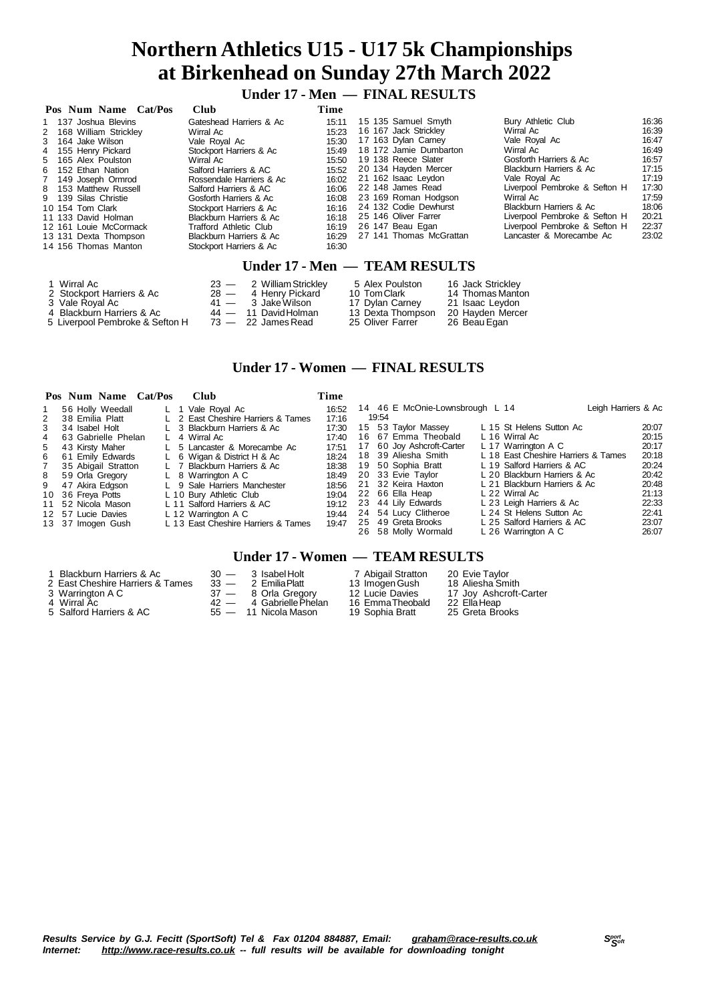# **Northern Athletics U15 - U17 5k Championships at Birkenhead on Sunday 27th March 2022**

 **Under 17 - Men — FINAL RESULTS**

| Pos Num Name Cat/Pos    | <b>Club</b>              | Time  |                         |                               |       |
|-------------------------|--------------------------|-------|-------------------------|-------------------------------|-------|
| 1 137 Joshua Blevins    | Gateshead Harriers & Ac  | 15:11 | 15 135 Samuel Smyth     | Bury Athletic Club            | 16:36 |
| 2 168 William Strickley | Wirral Ac                | 15:23 | 16 167 Jack Strickley   | Wirral Ac                     | 16:39 |
| 3 164 Jake Wilson       | Vale Roval Ac            | 15:30 | 17 163 Dylan Carney     | Vale Royal Ac                 | 16:47 |
| 4 155 Henry Pickard     | Stockport Harriers & Ac  | 15:49 | 18 172 Jamie Dumbarton  | Wirral Ac                     | 16:49 |
| 5 165 Alex Poulston     | Wirral Ac                | 15:50 | 19 138 Reece Slater     | Gosforth Harriers & Ac        | 16:57 |
| 6 152 Ethan Nation      | Salford Harriers & AC    | 15:52 | 20 134 Havden Mercer    | Blackburn Harriers & Ac       | 17:15 |
| 7 149 Joseph Ormrod     | Rossendale Harriers & Ac | 16:02 | 21 162 Isaac Leydon     | Vale Roval Ac                 | 17:19 |
| 8 153 Matthew Russell   | Salford Harriers & AC    | 16:06 | 22 148 James Read       | Liverpool Pembroke & Sefton H | 17:30 |
| 9 139 Silas Christie    | Gosforth Harriers & Ac   | 16:08 | 23 169 Roman Hodgson    | Wirral Ac                     | 17:59 |
| 10 154 Tom Clark        | Stockport Harriers & Ac  | 16:16 | 24 132 Codie Dewhurst   | Blackburn Harriers & Ac       | 18:06 |
| 11 133 David Holman     | Blackburn Harriers & Ac  | 16:18 | 25 146 Oliver Farrer    | Liverpool Pembroke & Sefton H | 20:21 |
| 12 161 Louie McCormack  | Trafford Athletic Club   | 16:19 | 26 147 Beau Egan        | Liverpool Pembroke & Sefton H | 22:37 |
| 13 131 Dexta Thompson   | Blackburn Harriers & Ac  | 16:29 | 27 141 Thomas McGrattan | Lancaster & Morecambe Ac      | 23:02 |
| 14 156 Thomas Manton    | Stockport Harriers & Ac  | 16:30 |                         |                               |       |
|                         |                          |       |                         |                               |       |

### **Under 17 - Men — TEAM RESULTS**

| 1 Wirral Ac                     | 23 - 2 William Strickley | 5 Alex Poulston   | 16 Jack Strickley |
|---------------------------------|--------------------------|-------------------|-------------------|
| 2 Stockport Harriers & Ac       | 28 - 4 Henry Pickard     | 10 Tom Clark      | 14 Thomas Manton  |
| 3 Vale Royal Ac                 | 41 — 3 Jake Wilson       | 17 Dylan Carney   | 21 Isaac Levdon   |
| 4 Blackburn Harriers & Ac       | 44 — 11 David Holman     | 13 Dexta Thompson | 20 Hayden Mercer  |
| 5 Liverpool Pembroke & Sefton H | 73 — 22 James Read       | 25 Oliver Farrer  | 26 Beau Egan      |

### **Under 17 - Women — FINAL RESULTS**

|   | Pos Num Name Cat/Pos | Club                                | Time  |                                 |                                     |       |
|---|----------------------|-------------------------------------|-------|---------------------------------|-------------------------------------|-------|
|   | 56 Holly Weedall     | L 1 Vale Royal Ac                   | 16:52 | 14 46 E McOnie-Lownsbrough L 14 | Leigh Harriers & Ac                 |       |
| 2 | 38 Emilia Platt      | L 2 East Cheshire Harriers & Tames  | 17:16 | 19:54                           |                                     |       |
| 3 | 34 Isabel Holt       | L 3 Blackburn Harriers & Ac         | 17:30 | 15 53 Taylor Massey             | L 15 St Helens Sutton Ac            | 20:07 |
| 4 | 63 Gabrielle Phelan  | L 4 Wirral Ac                       | 17:40 | 16 67 Emma Theobald             | L 16 Wirral Ac                      | 20:15 |
| 5 | 43 Kirsty Maher      | L 5 Lancaster & Morecambe Ac        | 17:51 | 17 60 Joy Ashcroft-Carter       | L 17 Warrington A C                 | 20:17 |
| 6 | 61 Emily Edwards     | L 6 Wigan & District H & Ac         | 18:24 | 18 39 Aliesha Smith             | L 18 East Cheshire Harriers & Tames | 20:18 |
| 7 | 35 Abigail Stratton  | L 7 Blackburn Harriers & Ac         | 18:38 | 19 50 Sophia Bratt              | L 19 Salford Harriers & AC          | 20:24 |
| 8 | 59 Orla Gregory      | $L$ 8 Warrington A C                | 18:49 | 20 33 Evie Taylor               | L 20 Blackburn Harriers & Ac        | 20:42 |
| 9 | 47 Akira Edgson      | L 9 Sale Harriers Manchester        | 18:56 | 21 32 Keira Haxton              | L 21 Blackburn Harriers & Ac        | 20:48 |
|   | 10 36 Freya Potts    | L 10 Bury Athletic Club             | 19:04 | 22 66 Ella Heap                 | L 22 Wirral Ac                      | 21:13 |
|   | 11 52 Nicola Mason   | L 11 Salford Harriers & AC          | 19:12 | 23 44 Lily Edwards              | L 23 Leigh Harriers & Ac            | 22:33 |
|   | 12 57 Lucie Davies   | $L$ 12 Warrington A C               | 19:44 | 24 54 Lucy Clitheroe            | L 24 St Helens Sutton Ac            | 22:41 |
|   | 13 37 Imogen Gush    | L 13 East Cheshire Harriers & Tames | 19:47 | 25 49 Greta Brooks              | L 25 Salford Harriers & AC          | 23:07 |
|   |                      |                                     |       | 26 58 Molly Wormald             | L 26 Warrington A C                 | 26:07 |

#### **Under 17 - Women — TEAM RESULTS**

| 1 Blackburn Harriers & Ac        | $30 -$ | 3 Isabel Holt           | 7 Abigail Stratton | 20 Evie Taylor         |
|----------------------------------|--------|-------------------------|--------------------|------------------------|
| 2 East Cheshire Harriers & Tames |        | $33 - 2$ Emilia Platt   | 13 Imogen Gush     | 18 Aliesha Smith       |
| 3 Warrington A C                 |        | 37 - 8 Orla Gregory     | 12 Lucie Davies    | 17 Joy Ashcroft-Carter |
| 4 Wirral Àc                      |        | 42 - 4 Gabrielle Phelan | 16 Emma Theobald   | 22 Ella Heap           |
| 5 Salford Harriers & AC          |        | $55 - 11$ Nicola Mason  | 19 Sophia Bratt    | 25 Greta Brooks        |